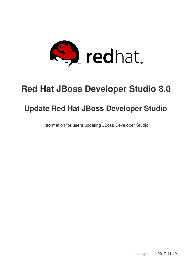

# **Red Hat JBoss Developer Studio 8.0**

## **Update Red Hat JBoss Developer Studio**

Information for users updating JBoss Developer Studio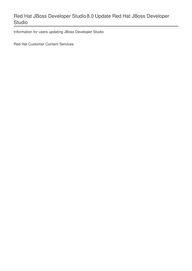## Red Hat JBoss Developer Studio 8.0 Update Red Hat JBoss Developer Studio

Information for users updating JBoss Developer Studio

Red Hat Customer Content Services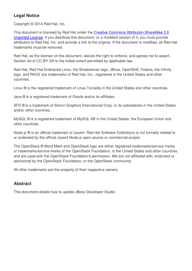## **Legal Notice**

Copyright © 2014 Red Hat, Inc.

This document is licensed by Red Hat under the Creative Commons [Attribution-ShareAlike](http://creativecommons.org/licenses/by-sa/3.0/) 3.0 Unported License. If you distribute this document, or a modified version of it, you must provide attribution to Red Hat, Inc. and provide a link to the original. If the document is modified, all Red Hat trademarks must be removed.

Red Hat, as the licensor of this document, waives the right to enforce, and agrees not to assert, Section 4d of CC-BY-SA to the fullest extent permitted by applicable law.

Red Hat, Red Hat Enterprise Linux, the Shadowman logo, JBoss, OpenShift, Fedora, the Infinity logo, and RHCE are trademarks of Red Hat, Inc., registered in the United States and other countries.

Linux ® is the registered trademark of Linus Torvalds in the United States and other countries.

Java ® is a registered trademark of Oracle and/or its affiliates.

XFS ® is a trademark of Silicon Graphics International Corp. or its subsidiaries in the United States and/or other countries.

MySQL ® is a registered trademark of MySQL AB in the United States, the European Union and other countries.

Node.js ® is an official trademark of Joyent. Red Hat Software Collections is not formally related to or endorsed by the official Joyent Node.js open source or commercial project.

The OpenStack ® Word Mark and OpenStack logo are either registered trademarks/service marks or trademarks/service marks of the OpenStack Foundation, in the United States and other countries and are used with the OpenStack Foundation's permission. We are not affiliated with, endorsed or sponsored by the OpenStack Foundation, or the OpenStack community.

All other trademarks are the property of their respective owners.

#### **Abstract**

This document details how to update JBoss Developer Studio.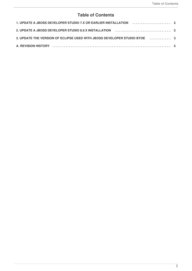### **Table of Contents**

| 3. UPDATE THE VERSION OF ECLIPSE USED WITH JBOSS DEVELOPER STUDIO BYOE [1, 3 |  |
|------------------------------------------------------------------------------|--|
|                                                                              |  |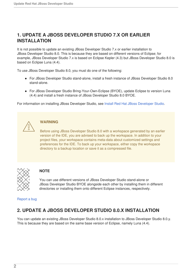## <span id="page-5-0"></span>**1. UPDATE A JBOSS DEVELOPER STUDIO 7.X OR EARLIER INSTALLATION**

It is not possible to update an existing JBoss Developer Studio 7.x or earlier installation to JBoss Developer Studio 8.0. This is because they are based on different versions of Eclipse; for example, JBoss Developer Studio 7.x is based on Eclipse Kepler (4.3) but JBoss Developer Studio 8.0 is based on Eclipse Luna (4.4).

To use JBoss Developer Studio 8.0, you must do one of the following:

- For JBoss Developer Studio stand-alone, install a fresh instance of JBoss Developer Studio 8.0 stand-alone.
- For JBoss Developer Studio Bring-Your-Own-Eclipse (BYOE), update Eclipse to version Luna (4.4) and install a fresh instance of JBoss Developer Studio 8.0 BYOE.

For information on installing JBoss Developer Studio, see Install Red Hat JBoss [Developer](https://access.redhat.com/documentation/en-US/Red_Hat_JBoss_Developer_Studio/8.0/html/Install_Red_Hat_JBoss_Developer_Studio/) Studio.



#### **WARNING**

Before using JBoss Developer Studio 8.0 with a workspace generated by an earlier version of the IDE, you are advised to back up the workspace. In addition to your project files, your workspace contains meta-data about customized settings and preferences for the IDE. To back up your workspace, either copy the workspace directory to a backup location or save it as a compressed file.



#### **NOTE**

You can use different versions of JBoss Developer Studio stand-alone or JBoss Developer Studio BYOE alongside each other by installing them in different directories or installing them onto different Eclipse instances, respectively.

#### [Report](https://issues.jboss.org/secure/CreateIssueDetails!init.jspa?issuetype=1&environment=Build+Name%3A+22959%2C+Update+Red+Hat+JBoss+Developer+Studio-8.0%0ABuild+Date%3A+21-01-2015+13%3A18%3A11%0ATopic+ID%3A+22604-718000+%5BLatest%5D&description=Title%3A+Update+a+JBoss+Developer+Studio+7.x+or+Earlier+Installation%0A%0ADescribe+the+issue%3A%0A%0A%0ASuggestions+for+improvement%3A%0A%0A%0AAdditional+information%3A&pid=12310980) a bug

## <span id="page-5-1"></span>**2. UPDATE A JBOSS DEVELOPER STUDIO 8.0.X INSTALLATION**

You can update an existing JBoss Developer Studio 8.0.x installation to JBoss Developer Studio 8.0.y. This is because they are based on the same base version of Eclipse, namely Luna (4.4).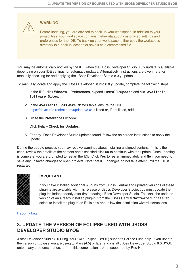

#### **WARNING**

Before updating, you are advised to back up your workspace. In addition to your project files, your workspace contains meta-data about customized settings and preferences for the IDE. To back up your workspace, either copy the workspace directory to a backup location or save it as a compressed file.

You may be automatically notified by the IDE when the JBoss Developer Studio 8.0.y update is available, depending on your IDE settings for automatic updates. Alternatively, instructions are given here for manually checking for and applying the JBoss Developer Studio 8.0.y update.

To manually locate and apply the JBoss Developer Studio 8.0.y update, complete the following steps:

- 1. In the IDE, click **Window**→**Preferences**, expand **Install/Update** and click **Available Software Sites**.
- 2. In the **Available Software Sites** table, ensure the URL <https://devstudio.redhat.com/updates/8.0/> is listed or, if not listed, add it.
- 3. Close the **Preferences** window.
- 4. Click **Help**→**Check for Updates**.
- 5. For any JBoss Developer Studio updates found, follow the on-screen instructions to apply the update.

During the update process you may receive warnings about installing unsigned content. If this is the case, review the details of the content and if satisfied click **OK** to continue with the update. Once updating is complete, you are prompted to restart the IDE. Click **Yes** to restart immediately and **No** if you need to save any unsaved changes to open projects. Note that IDE changes do not take effect until the IDE is restarted.



#### **IMPORTANT**

If you have installed additional plug-ins from JBoss Central and updated versions of these plug-ins are available with this release of JBoss Developer Studio, you must update the plug-ins independently after first updating JBoss Developer Studio. To install the updated version of an already installed plug-in, from the JBoss Central **Software/Update** tab select to install the plug-in as if it is new and follow the installation wizard instructions.

[Report](https://issues.jboss.org/secure/CreateIssueDetails!init.jspa?issuetype=1&environment=Build+Name%3A+22959%2C+Update+Red+Hat+JBoss+Developer+Studio-8.0%0ABuild+Date%3A+21-01-2015+13%3A18%3A11%0ATopic+ID%3A+22704-736798+%5BLatest%5D&description=Title%3A+Update+a+JBoss+Developer+Studio+8.0.x+Installation%0A%0ADescribe+the+issue%3A%0A%0A%0ASuggestions+for+improvement%3A%0A%0A%0AAdditional+information%3A&pid=12310980) a bug

## <span id="page-6-0"></span>**3. UPDATE THE VERSION OF ECLIPSE USED WITH JBOSS DEVELOPER STUDIO BYOE**

JBoss Developer Studio 8.0 Bring-Your-Own-Eclipse (BYOE) supports Eclipse Luna only. If you update the version of Eclipse you are using to Mars (4.5) or later and install JBoss Developer Studio 8.0 BYOE onto it, any problems that occur from this combination are not supported by Red Hat.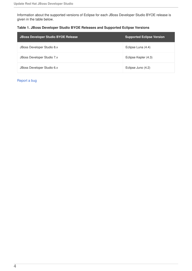Information about the supported versions of Eclipse for each JBoss Developer Studio BYOE release is given in the table below.

|  |  | Table 1. JBoss Developer Studio BYOE Releases and Supported Eclipse Versions |  |
|--|--|------------------------------------------------------------------------------|--|
|  |  |                                                                              |  |

| JBoss Developer Studio BYOE Release | <b>Supported Eclipse Version</b> |
|-------------------------------------|----------------------------------|
| JBoss Developer Studio 8.x          | Eclipse Luna (4.4)               |
| JBoss Developer Studio 7.x          | Eclipse Kepler (4.3)             |
| JBoss Developer Studio 6.x          | Eclipse Juno (4.2)               |

#### [Report](https://issues.jboss.org/secure/CreateIssueDetails!init.jspa?issuetype=1&environment=Build+Name%3A+22959%2C+Update+Red+Hat+JBoss+Developer+Studio-8.0%0ABuild+Date%3A+21-01-2015+13%3A18%3A11%0ATopic+ID%3A+13416-718032+%5BLatest%5D&description=Title%3A+Update+the+Version+of+Eclipse+Used+with+JBoss+Developer+Studio+BYOE%0A%0ADescribe+the+issue%3A%0A%0A%0ASuggestions+for+improvement%3A%0A%0A%0AAdditional+information%3A&pid=12310980) a bug